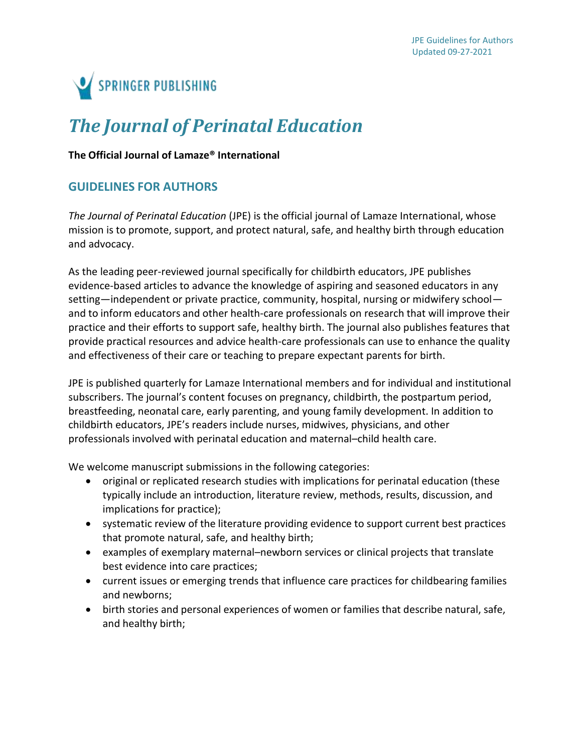

# *The Journal of Perinatal Education*

#### **The Official Journal of Lamaze® International**

# **GUIDELINES FOR AUTHORS**

*The Journal of Perinatal Education* (JPE) is the official journal of Lamaze International, whose mission is to promote, support, and protect natural, safe, and healthy birth through education and advocacy.

As the leading peer-reviewed journal specifically for childbirth educators, JPE publishes evidence-based articles to advance the knowledge of aspiring and seasoned educators in any setting—independent or private practice, community, hospital, nursing or midwifery school and to inform educators and other health-care professionals on research that will improve their practice and their efforts to support safe, healthy birth. The journal also publishes features that provide practical resources and advice health-care professionals can use to enhance the quality and effectiveness of their care or teaching to prepare expectant parents for birth.

JPE is published quarterly for Lamaze International members and for individual and institutional subscribers. The journal's content focuses on pregnancy, childbirth, the postpartum period, breastfeeding, neonatal care, early parenting, and young family development. In addition to childbirth educators, JPE's readers include nurses, midwives, physicians, and other professionals involved with perinatal education and maternal–child health care.

We welcome manuscript submissions in the following categories:

- original or replicated research studies with implications for perinatal education (these typically include an introduction, literature review, methods, results, discussion, and implications for practice);
- systematic review of the literature providing evidence to support current best practices that promote natural, safe, and healthy birth;
- examples of exemplary maternal–newborn services or clinical projects that translate best evidence into care practices;
- current issues or emerging trends that influence care practices for childbearing families and newborns;
- birth stories and personal experiences of women or families that describe natural, safe, and healthy birth;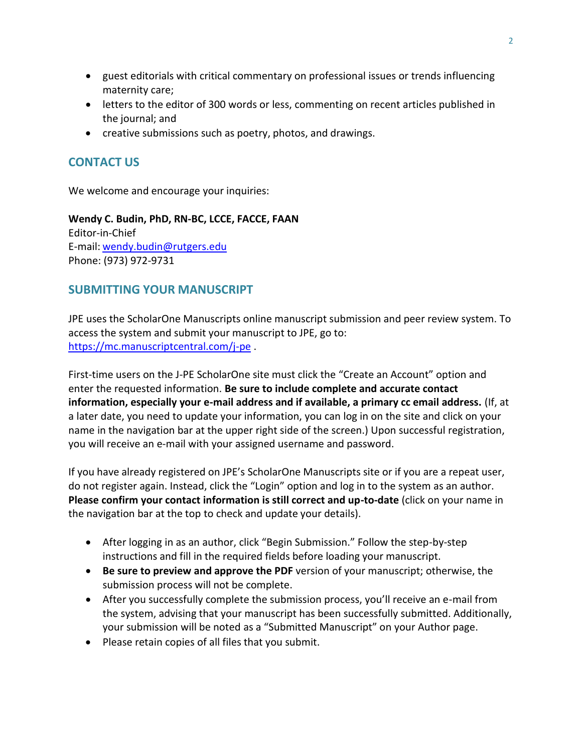- guest editorials with critical commentary on professional issues or trends influencing maternity care;
- letters to the editor of 300 words or less, commenting on recent articles published in the journal; and
- creative submissions such as poetry, photos, and drawings.

# **CONTACT US**

We welcome and encourage your inquiries:

# **Wendy C. Budin, PhD, RN-BC, LCCE, FACCE, FAAN**

Editor-in-Chief E-mail: [wendy.budin@rutgers.edu](mailto:wendy.budin@rutgers.edu) Phone: (973) 972-9731

# **SUBMITTING YOUR MANUSCRIPT**

JPE uses the ScholarOne Manuscripts online manuscript submission and peer review system. To access the system and submit your manuscript to JPE, go to: <https://mc.manuscriptcentral.com/j-pe> .

First-time users on the J-PE ScholarOne site must click the "Create an Account" option and enter the requested information. **Be sure to include complete and accurate contact information, especially your e-mail address and if available, a primary cc email address.** (If, at a later date, you need to update your information, you can log in on the site and click on your name in the navigation bar at the upper right side of the screen.) Upon successful registration, you will receive an e-mail with your assigned username and password.

If you have already registered on JPE's ScholarOne Manuscripts site or if you are a repeat user, do not register again. Instead, click the "Login" option and log in to the system as an author. **Please confirm your contact information is still correct and up-to-date** (click on your name in the navigation bar at the top to check and update your details).

- After logging in as an author, click "Begin Submission." Follow the step-by-step instructions and fill in the required fields before loading your manuscript.
- **Be sure to preview and approve the PDF** version of your manuscript; otherwise, the submission process will not be complete.
- After you successfully complete the submission process, you'll receive an e-mail from the system, advising that your manuscript has been successfully submitted. Additionally, your submission will be noted as a "Submitted Manuscript" on your Author page.
- Please retain copies of all files that you submit.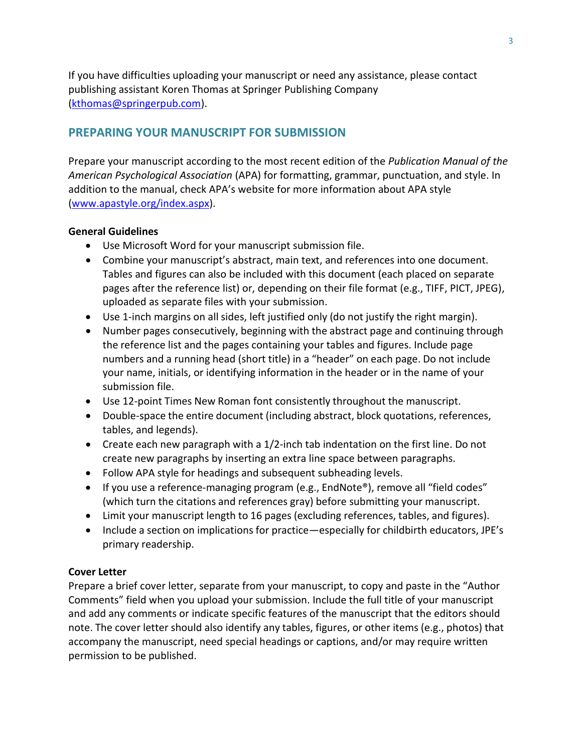If you have difficulties uploading your manuscript or need any assistance, please contact publishing assistant Koren Thomas at Springer Publishing Company [\(kthomas@springerpub.com\)](mailto:kthomas@springerpub.com).

# **PREPARING YOUR MANUSCRIPT FOR SUBMISSION**

Prepare your manuscript according to the most recent edition of the *Publication Manual of the American Psychological Association* (APA) for formatting, grammar, punctuation, and style. In addition to the manual, check APA's website for more information about APA style [\(www.apastyle.org/index.aspx\)](http://www.apastyle.org/index.aspx).

### **General Guidelines**

- Use Microsoft Word for your manuscript submission file.
- Combine your manuscript's abstract, main text, and references into one document. Tables and figures can also be included with this document (each placed on separate pages after the reference list) or, depending on their file format (e.g., TIFF, PICT, JPEG), uploaded as separate files with your submission.
- Use 1-inch margins on all sides, left justified only (do not justify the right margin).
- Number pages consecutively, beginning with the abstract page and continuing through the reference list and the pages containing your tables and figures. Include page numbers and a running head (short title) in a "header" on each page. Do not include your name, initials, or identifying information in the header or in the name of your submission file.
- Use 12-point Times New Roman font consistently throughout the manuscript.
- Double-space the entire document (including abstract, block quotations, references, tables, and legends).
- Create each new paragraph with a 1/2-inch tab indentation on the first line. Do not create new paragraphs by inserting an extra line space between paragraphs.
- Follow APA style for headings and subsequent subheading levels.
- If you use a reference-managing program (e.g., EndNote®), remove all "field codes" (which turn the citations and references gray) before submitting your manuscript.
- Limit your manuscript length to 16 pages (excluding references, tables, and figures).
- Include a section on implications for practice—especially for childbirth educators, JPE's primary readership.

## **Cover Letter**

Prepare a brief cover letter, separate from your manuscript, to copy and paste in the "Author Comments" field when you upload your submission. Include the full title of your manuscript and add any comments or indicate specific features of the manuscript that the editors should note. The cover letter should also identify any tables, figures, or other items (e.g., photos) that accompany the manuscript, need special headings or captions, and/or may require written permission to be published.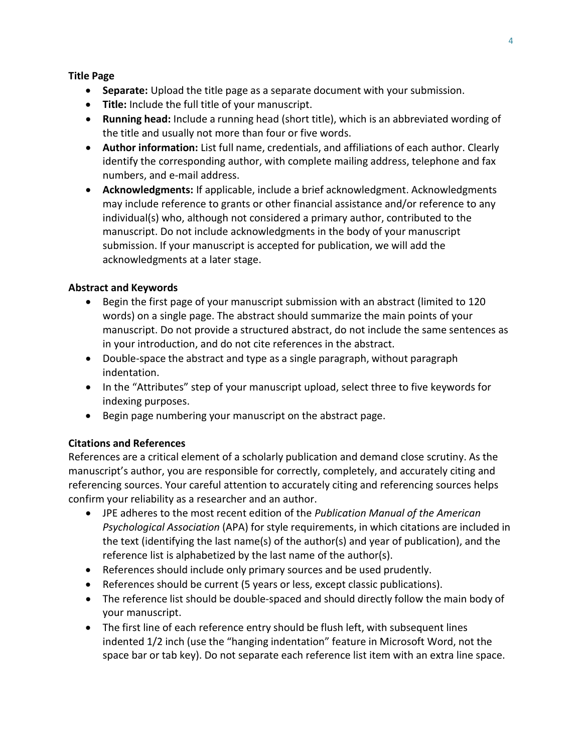#### **Title Page**

- **Separate:** Upload the title page as a separate document with your submission.
- **Title:** Include the full title of your manuscript.
- **Running head:** Include a running head (short title), which is an abbreviated wording of the title and usually not more than four or five words.
- **Author information:** List full name, credentials, and affiliations of each author. Clearly identify the corresponding author, with complete mailing address, telephone and fax numbers, and e-mail address.
- **Acknowledgments:** If applicable, include a brief acknowledgment. Acknowledgments may include reference to grants or other financial assistance and/or reference to any individual(s) who, although not considered a primary author, contributed to the manuscript. Do not include acknowledgments in the body of your manuscript submission. If your manuscript is accepted for publication, we will add the acknowledgments at a later stage.

### **Abstract and Keywords**

- Begin the first page of your manuscript submission with an abstract (limited to 120 words) on a single page. The abstract should summarize the main points of your manuscript. Do not provide a structured abstract, do not include the same sentences as in your introduction, and do not cite references in the abstract.
- Double-space the abstract and type as a single paragraph, without paragraph indentation.
- In the "Attributes" step of your manuscript upload, select three to five keywords for indexing purposes.
- Begin page numbering your manuscript on the abstract page.

#### **Citations and References**

References are a critical element of a scholarly publication and demand close scrutiny. As the manuscript's author, you are responsible for correctly, completely, and accurately citing and referencing sources. Your careful attention to accurately citing and referencing sources helps confirm your reliability as a researcher and an author.

- JPE adheres to the most recent edition of the *Publication Manual of the American Psychological Association* (APA) for style requirements, in which citations are included in the text (identifying the last name(s) of the author(s) and year of publication), and the reference list is alphabetized by the last name of the author(s).
- References should include only primary sources and be used prudently.
- References should be current (5 years or less, except classic publications).
- The reference list should be double-spaced and should directly follow the main body of your manuscript.
- The first line of each reference entry should be flush left, with subsequent lines indented 1/2 inch (use the "hanging indentation" feature in Microsoft Word, not the space bar or tab key). Do not separate each reference list item with an extra line space.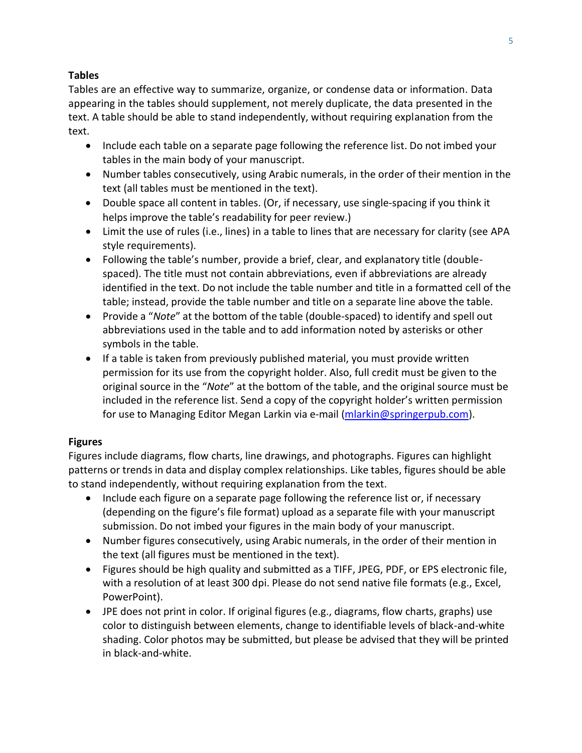## **Tables**

Tables are an effective way to summarize, organize, or condense data or information. Data appearing in the tables should supplement, not merely duplicate, the data presented in the text. A table should be able to stand independently, without requiring explanation from the text.

- Include each table on a separate page following the reference list. Do not imbed your tables in the main body of your manuscript.
- Number tables consecutively, using Arabic numerals, in the order of their mention in the text (all tables must be mentioned in the text).
- Double space all content in tables. (Or, if necessary, use single-spacing if you think it helps improve the table's readability for peer review.)
- Limit the use of rules (i.e., lines) in a table to lines that are necessary for clarity (see APA style requirements).
- Following the table's number, provide a brief, clear, and explanatory title (doublespaced). The title must not contain abbreviations, even if abbreviations are already identified in the text. Do not include the table number and title in a formatted cell of the table; instead, provide the table number and title on a separate line above the table.
- Provide a "*Note*" at the bottom of the table (double-spaced) to identify and spell out abbreviations used in the table and to add information noted by asterisks or other symbols in the table.
- If a table is taken from previously published material, you must provide written permission for its use from the copyright holder. Also, full credit must be given to the original source in the "*Note*" at the bottom of the table, and the original source must be included in the reference list. Send a copy of the copyright holder's written permission for use to Managing Editor Megan Larkin via e-mail [\(mlarkin@springerpub.com\)](mailto:mlarkin@springerpub.com).

## **Figures**

Figures include diagrams, flow charts, line drawings, and photographs. Figures can highlight patterns or trends in data and display complex relationships. Like tables, figures should be able to stand independently, without requiring explanation from the text.

- Include each figure on a separate page following the reference list or, if necessary (depending on the figure's file format) upload as a separate file with your manuscript submission. Do not imbed your figures in the main body of your manuscript.
- Number figures consecutively, using Arabic numerals, in the order of their mention in the text (all figures must be mentioned in the text).
- Figures should be high quality and submitted as a TIFF, JPEG, PDF, or EPS electronic file, with a resolution of at least 300 dpi. Please do not send native file formats (e.g., Excel, PowerPoint).
- JPE does not print in color. If original figures (e.g., diagrams, flow charts, graphs) use color to distinguish between elements, change to identifiable levels of black-and-white shading. Color photos may be submitted, but please be advised that they will be printed in black-and-white.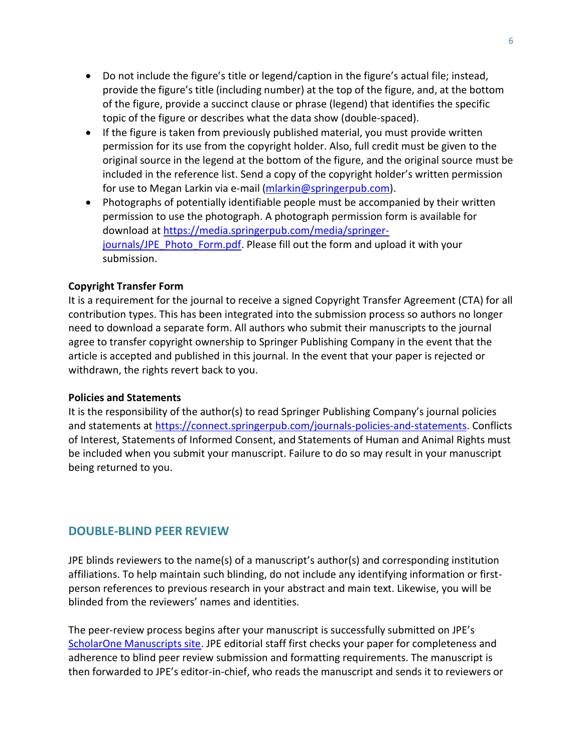- Do not include the figure's title or legend/caption in the figure's actual file; instead, provide the figure's title (including number) at the top of the figure, and, at the bottom of the figure, provide a succinct clause or phrase (legend) that identifies the specific topic of the figure or describes what the data show (double-spaced).
- If the figure is taken from previously published material, you must provide written permission for its use from the copyright holder. Also, full credit must be given to the original source in the legend at the bottom of the figure, and the original source must be included in the reference list. Send a copy of the copyright holder's written permission for use to Megan Larkin via e-mail [\(mlarkin@springerpub.com\)](mailto:mlarkin@springerpub.com).
- Photographs of potentially identifiable people must be accompanied by their written permission to use the photograph. A photograph permission form is available for download at [https://media.springerpub.com/media/springer](https://media.springerpub.com/media/springer-journals/JPE_Photo_Form.pdf)[journals/JPE\\_Photo\\_Form.pdf.](https://media.springerpub.com/media/springer-journals/JPE_Photo_Form.pdf) Please fill out the form and upload it with your submission.

#### **Copyright Transfer Form**

It is a requirement for the journal to receive a signed Copyright Transfer Agreement (CTA) for all contribution types. This has been integrated into the submission process so authors no longer need to download a separate form. All authors who submit their manuscripts to the journal agree to transfer copyright ownership to Springer Publishing Company in the event that the article is accepted and published in this journal. In the event that your paper is rejected or withdrawn, the rights revert back to you.

#### **Policies and Statements**

It is the responsibility of the author(s) to read Springer Publishing Company's journal policies and statements at [https://connect.springerpub.com/journals-policies-and-statements.](https://connect.springerpub.com/journals-policies-and-statements) Conflicts of Interest, Statements of Informed Consent, and Statements of Human and Animal Rights must be included when you submit your manuscript. Failure to do so may result in your manuscript being returned to you.

#### **DOUBLE-BLIND PEER REVIEW**

JPE blinds reviewers to the name(s) of a manuscript's author(s) and corresponding institution affiliations. To help maintain such blinding, do not include any identifying information or firstperson references to previous research in your abstract and main text. Likewise, you will be blinded from the reviewers' names and identities.

The peer-review process begins after your manuscript is successfully submitted on JPE's [ScholarOne Manuscripts site.](https://mc.manuscriptcentral.com/j-pe) JPE editorial staff first checks your paper for completeness and adherence to blind peer review submission and formatting requirements. The manuscript is then forwarded to JPE's editor-in-chief, who reads the manuscript and sends it to reviewers or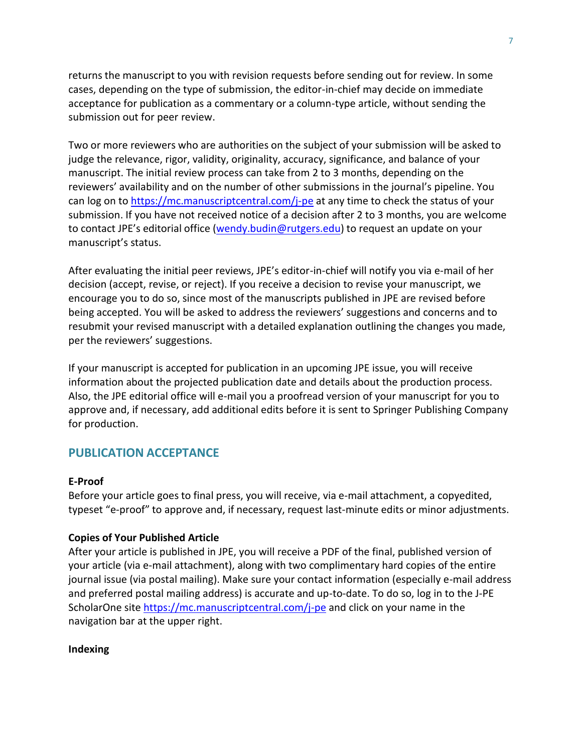returns the manuscript to you with revision requests before sending out for review. In some cases, depending on the type of submission, the editor-in-chief may decide on immediate acceptance for publication as a commentary or a column-type article, without sending the submission out for peer review.

Two or more reviewers who are authorities on the subject of your submission will be asked to judge the relevance, rigor, validity, originality, accuracy, significance, and balance of your manuscript. The initial review process can take from 2 to 3 months, depending on the reviewers' availability and on the number of other submissions in the journal's pipeline. You can log on t[o https://mc.manuscriptcentral.com/j-pe](https://mc.manuscriptcentral.com/j-pe) at any time to check the status of your submission. If you have not received notice of a decision after 2 to 3 months, you are welcome to contact JPE's editorial office [\(wendy.budin@rutgers.edu\)](mailto:wendy.budin@rutgers.edu) to request an update on your manuscript's status.

After evaluating the initial peer reviews, JPE's editor-in-chief will notify you via e-mail of her decision (accept, revise, or reject). If you receive a decision to revise your manuscript, we encourage you to do so, since most of the manuscripts published in JPE are revised before being accepted. You will be asked to address the reviewers' suggestions and concerns and to resubmit your revised manuscript with a detailed explanation outlining the changes you made, per the reviewers' suggestions.

If your manuscript is accepted for publication in an upcoming JPE issue, you will receive information about the projected publication date and details about the production process. Also, the JPE editorial office will e-mail you a proofread version of your manuscript for you to approve and, if necessary, add additional edits before it is sent to Springer Publishing Company for production.

## **PUBLICATION ACCEPTANCE**

#### **E-Proof**

Before your article goes to final press, you will receive, via e-mail attachment, a copyedited, typeset "e-proof" to approve and, if necessary, request last-minute edits or minor adjustments.

#### **Copies of Your Published Article**

After your article is published in JPE, you will receive a PDF of the final, published version of your article (via e-mail attachment), along with two complimentary hard copies of the entire journal issue (via postal mailing). Make sure your contact information (especially e-mail address and preferred postal mailing address) is accurate and up-to-date. To do so, log in to the J-PE ScholarOne site<https://mc.manuscriptcentral.com/j-pe> and click on your name in the navigation bar at the upper right.

#### **Indexing**